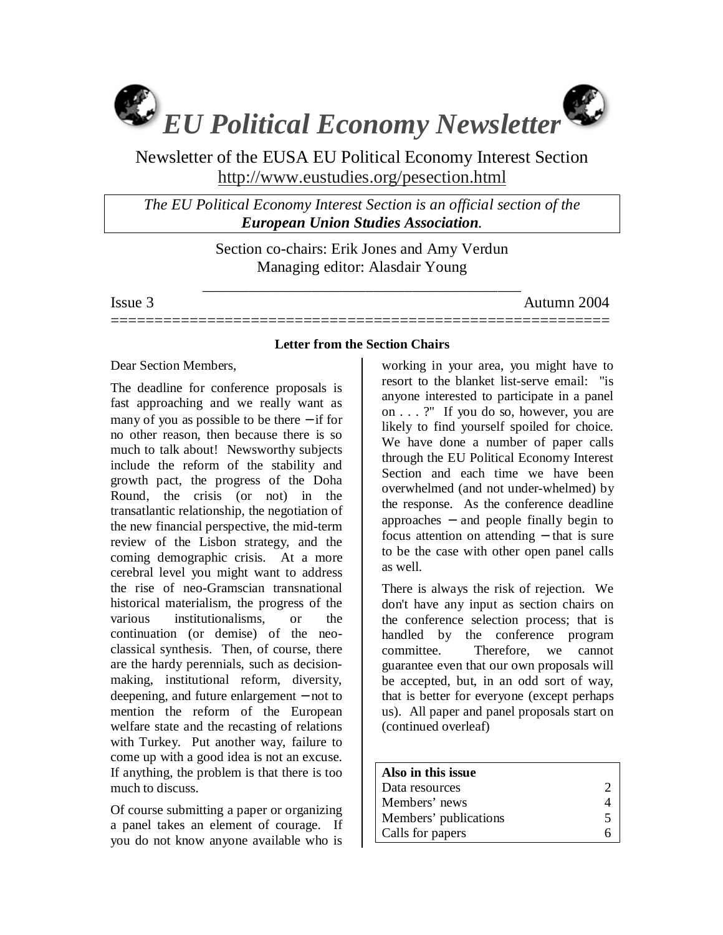

Newsletter of the EUSA EU Political Economy Interest Section http://www.eustudies.org/pesection.html

*The EU Political Economy Interest Section is an official section of the European Union Studies Association.* 

> Section co-chairs: Erik Jones and Amy Verdun Managing editor: Alasdair Young

\_\_\_\_\_\_\_\_\_\_\_\_\_\_\_\_\_\_\_\_\_\_\_\_\_\_\_\_\_\_\_\_\_\_\_\_\_\_\_\_\_

Issue 3 Autumn 2004

=========================================================

## **Letter from the Section Chairs**

### Dear Section Members,

The deadline for conference proposals is fast approaching and we really want as many of you as possible to be there − if for no other reason, then because there is so much to talk about! Newsworthy subjects include the reform of the stability and growth pact, the progress of the Doha Round, the crisis (or not) in the transatlantic relationship, the negotiation of the new financial perspective, the mid-term review of the Lisbon strategy, and the coming demographic crisis. At a more cerebral level you might want to address the rise of neo-Gramscian transnational historical materialism, the progress of the various institutionalisms, or the continuation (or demise) of the neoclassical synthesis. Then, of course, there are the hardy perennials, such as decisionmaking, institutional reform, diversity, deepening, and future enlargement − not to mention the reform of the European welfare state and the recasting of relations with Turkey. Put another way, failure to come up with a good idea is not an excuse. If anything, the problem is that there is too much to discuss.

Of course submitting a paper or organizing a panel takes an element of courage. If you do not know anyone available who is

working in your area, you might have to resort to the blanket list-serve email: "is anyone interested to participate in a panel on . . . ?" If you do so, however, you are likely to find yourself spoiled for choice. We have done a number of paper calls through the EU Political Economy Interest Section and each time we have been overwhelmed (and not under-whelmed) by the response. As the conference deadline approaches − and people finally begin to focus attention on attending − that is sure to be the case with other open panel calls as well.

There is always the risk of rejection. We don't have any input as section chairs on the conference selection process; that is handled by the conference program committee. Therefore, we cannot guarantee even that our own proposals will be accepted, but, in an odd sort of way, that is better for everyone (except perhaps us). All paper and panel proposals start on (continued overleaf)

| Also in this issue    |                         |
|-----------------------|-------------------------|
| Data resources        |                         |
| Members' news         |                         |
| Members' publications | $\overline{\mathbf{5}}$ |
| Calls for papers      |                         |
|                       |                         |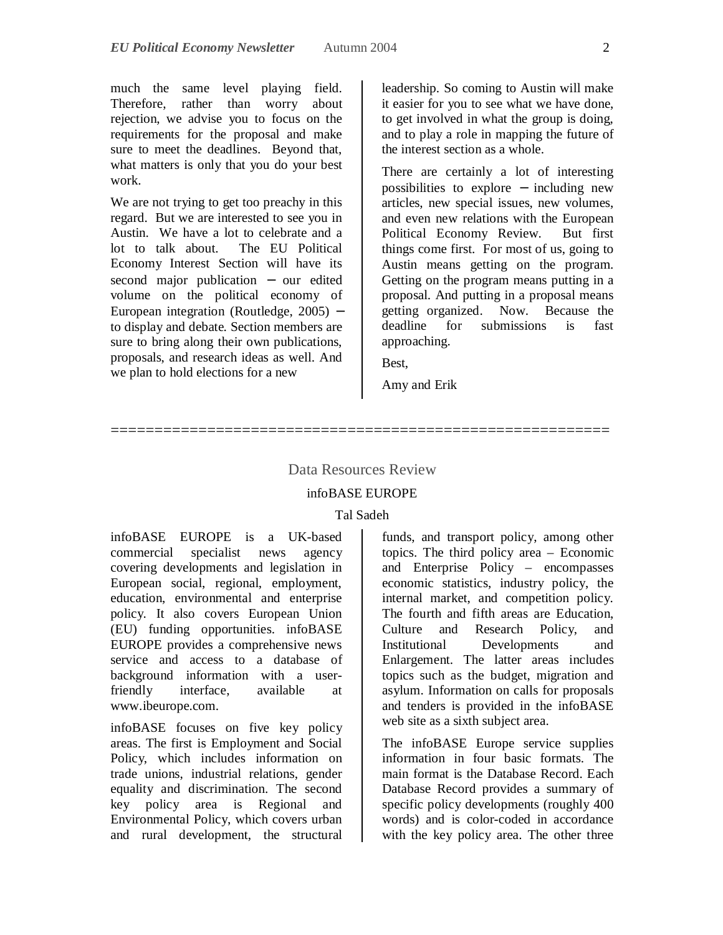much the same level playing field. Therefore, rather than worry about rejection, we advise you to focus on the requirements for the proposal and make sure to meet the deadlines. Beyond that, what matters is only that you do your best work.

We are not trying to get too preachy in this regard. But we are interested to see you in Austin. We have a lot to celebrate and a lot to talk about. The EU Political Economy Interest Section will have its second major publication – our edited volume on the political economy of European integration (Routledge, 2005) − to display and debate. Section members are sure to bring along their own publications, proposals, and research ideas as well. And we plan to hold elections for a new

leadership. So coming to Austin will make it easier for you to see what we have done, to get involved in what the group is doing, and to play a role in mapping the future of the interest section as a whole.

There are certainly a lot of interesting possibilities to explore − including new articles, new special issues, new volumes, and even new relations with the European Political Economy Review. But first things come first. For most of us, going to Austin means getting on the program. Getting on the program means putting in a proposal. And putting in a proposal means getting organized. Now. Because the deadline for submissions is fast approaching.

Best,

Amy and Erik

### Data Resources Review

=========================================================

#### infoBASE EUROPE

#### Tal Sadeh

infoBASE EUROPE is a UK-based commercial specialist news agency covering developments and legislation in European social, regional, employment, education, environmental and enterprise policy. It also covers European Union (EU) funding opportunities. infoBASE EUROPE provides a comprehensive news service and access to a database of background information with a userfriendly interface, available at www.ibeurope.com.

infoBASE focuses on five key policy areas. The first is Employment and Social Policy, which includes information on trade unions, industrial relations, gender equality and discrimination. The second key policy area is Regional and Environmental Policy, which covers urban and rural development, the structural

funds, and transport policy, among other topics. The third policy area – Economic and Enterprise Policy – encompasses economic statistics, industry policy, the internal market, and competition policy. The fourth and fifth areas are Education, Culture and Research Policy, and Institutional Developments and Enlargement. The latter areas includes topics such as the budget, migration and asylum. Information on calls for proposals and tenders is provided in the infoBASE web site as a sixth subject area.

The infoBASE Europe service supplies information in four basic formats. The main format is the Database Record. Each Database Record provides a summary of specific policy developments (roughly 400 words) and is color-coded in accordance with the key policy area. The other three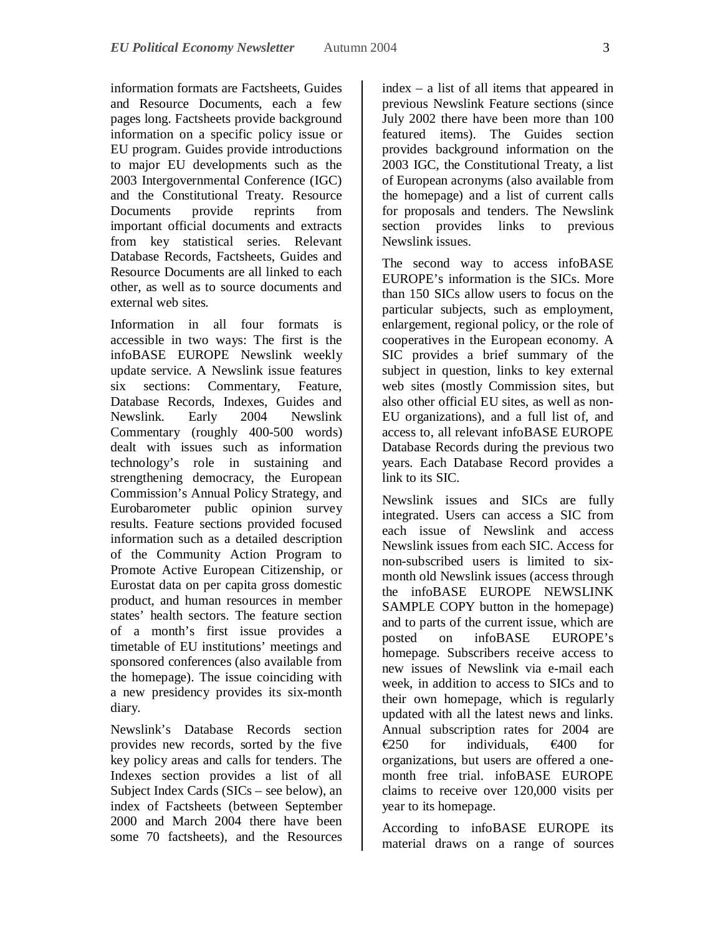information formats are Factsheets, Guides and Resource Documents, each a few pages long. Factsheets provide background information on a specific policy issue or EU program. Guides provide introductions to major EU developments such as the 2003 Intergovernmental Conference (IGC) and the Constitutional Treaty. Resource<br>Documents provide reprints from Documents provide reprints from important official documents and extracts from key statistical series. Relevant Database Records, Factsheets, Guides and Resource Documents are all linked to each other, as well as to source documents and external web sites.

Information in all four formats is accessible in two ways: The first is the infoBASE EUROPE Newslink weekly update service. A Newslink issue features six sections: Commentary, Feature, Database Records, Indexes, Guides and Newslink. Early 2004 Newslink Commentary (roughly 400-500 words) dealt with issues such as information technology's role in sustaining and strengthening democracy, the European Commission's Annual Policy Strategy, and Eurobarometer public opinion survey results. Feature sections provided focused information such as a detailed description of the Community Action Program to Promote Active European Citizenship, or Eurostat data on per capita gross domestic product, and human resources in member states' health sectors. The feature section of a month's first issue provides a timetable of EU institutions' meetings and sponsored conferences (also available from the homepage). The issue coinciding with a new presidency provides its six-month diary.

Newslink's Database Records section provides new records, sorted by the five key policy areas and calls for tenders. The Indexes section provides a list of all Subject Index Cards (SICs – see below), an index of Factsheets (between September 2000 and March 2004 there have been some 70 factsheets), and the Resources

index – a list of all items that appeared in previous Newslink Feature sections (since July 2002 there have been more than 100 featured items). The Guides section provides background information on the 2003 IGC, the Constitutional Treaty, a list of European acronyms (also available from the homepage) and a list of current calls for proposals and tenders. The Newslink section provides links to previous Newslink issues.

The second way to access infoBASE EUROPE's information is the SICs. More than 150 SICs allow users to focus on the particular subjects, such as employment, enlargement, regional policy, or the role of cooperatives in the European economy. A SIC provides a brief summary of the subject in question, links to key external web sites (mostly Commission sites, but also other official EU sites, as well as non-EU organizations), and a full list of, and access to, all relevant infoBASE EUROPE Database Records during the previous two years. Each Database Record provides a link to its SIC.

Newslink issues and SICs are fully integrated. Users can access a SIC from each issue of Newslink and access Newslink issues from each SIC. Access for non-subscribed users is limited to sixmonth old Newslink issues (access through the infoBASE EUROPE NEWSLINK SAMPLE COPY button in the homepage) and to parts of the current issue, which are posted on infoBASE EUROPE's homepage. Subscribers receive access to new issues of Newslink via e-mail each week, in addition to access to SICs and to their own homepage, which is regularly updated with all the latest news and links. Annual subscription rates for 2004 are  $\epsilon$ 250 for individuals,  $\epsilon$ 400 for organizations, but users are offered a onemonth free trial. infoBASE EUROPE claims to receive over 120,000 visits per year to its homepage.

According to infoBASE EUROPE its material draws on a range of sources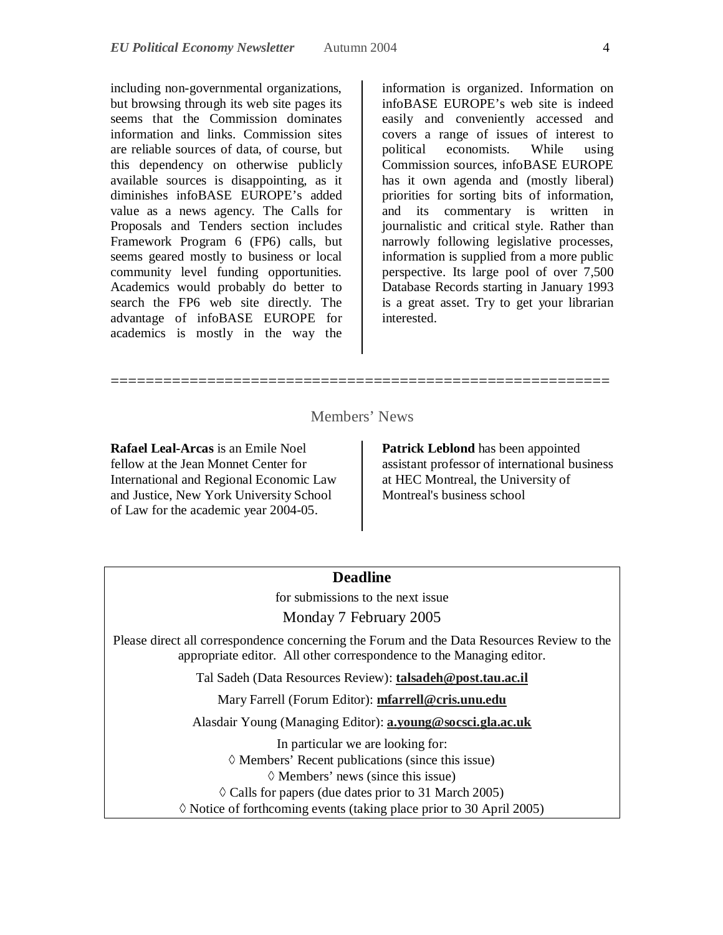including non-governmental organizations, but browsing through its web site pages its seems that the Commission dominates information and links. Commission sites are reliable sources of data, of course, but this dependency on otherwise publicly available sources is disappointing, as it diminishes infoBASE EUROPE's added value as a news agency. The Calls for Proposals and Tenders section includes Framework Program 6 (FP6) calls, but seems geared mostly to business or local community level funding opportunities. Academics would probably do better to search the FP6 web site directly. The advantage of infoBASE EUROPE for academics is mostly in the way the

information is organized. Information on infoBASE EUROPE's web site is indeed easily and conveniently accessed and covers a range of issues of interest to political economists. While using Commission sources, infoBASE EUROPE has it own agenda and (mostly liberal) priorities for sorting bits of information, and its commentary is written in journalistic and critical style. Rather than narrowly following legislative processes, information is supplied from a more public perspective. Its large pool of over 7,500 Database Records starting in January 1993 is a great asset. Try to get your librarian interested.

## Members' News

=========================================================

**Rafael Leal-Arcas** is an Emile Noel fellow at the Jean Monnet Center for International and Regional Economic Law and Justice, New York University School of Law for the academic year 2004-05.

**Patrick Leblond** has been appointed assistant professor of international business at HEC Montreal, the University of Montreal's business school

### **Deadline**

for submissions to the next issue

Monday 7 February 2005

Please direct all correspondence concerning the Forum and the Data Resources Review to the appropriate editor. All other correspondence to the Managing editor.

Tal Sadeh (Data Resources Review): **talsadeh@post.tau.ac.il**

Mary Farrell (Forum Editor): **mfarrell@cris.unu.edu**

Alasdair Young (Managing Editor): **a.young@socsci.gla.ac.uk**

In particular we are looking for:  $\Diamond$  Members' Recent publications (since this issue)  $\Diamond$  Members' news (since this issue)  $\Diamond$  Calls for papers (due dates prior to 31 March 2005)  $\Diamond$  Notice of forthcoming events (taking place prior to 30 April 2005)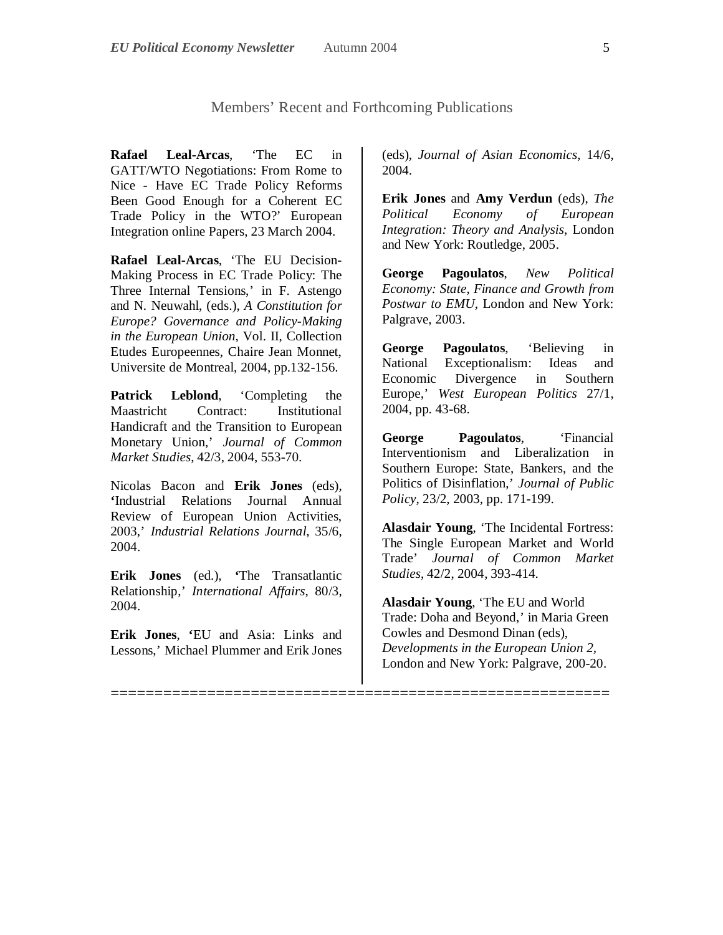=========================================================

**Rafael Leal-Arcas**, 'The EC in GATT/WTO Negotiations: From Rome to Nice - Have EC Trade Policy Reforms Been Good Enough for a Coherent EC Trade Policy in the WTO?' European Integration online Papers, 23 March 2004.

**Rafael Leal-Arcas**, 'The EU Decision-Making Process in EC Trade Policy: The Three Internal Tensions,' in F. Astengo and N. Neuwahl, (eds.), *A Constitution for Europe? Governance and Policy-Making in the European Union*, Vol. II, Collection Etudes Europeennes, Chaire Jean Monnet, Universite de Montreal, 2004, pp.132-156.

**Patrick Leblond**, 'Completing the Maastricht Contract: Institutional Handicraft and the Transition to European Monetary Union,' *Journal of Common Market Studies*, 42/3, 2004, 553-70.

Nicolas Bacon and **Erik Jones** (eds), **'**Industrial Relations Journal Annual Review of European Union Activities, 2003,' *Industrial Relations Journal*, 35/6, 2004.

**Erik Jones** (ed.), **'**The Transatlantic Relationship,' *International Affairs*, 80/3, 2004.

**Erik Jones**, **'**EU and Asia: Links and Lessons,' Michael Plummer and Erik Jones (eds), *Journal of Asian Economics*, 14/6, 2004.

**Erik Jones** and **Amy Verdun** (eds), *The Political Economy of European Integration: Theory and Analysis*, London and New York: Routledge, 2005.

**George Pagoulatos**, *New Political Economy: State, Finance and Growth from Postwar to EMU*, London and New York: Palgrave, 2003.

**George Pagoulatos**, 'Believing in National Exceptionalism: Ideas and Economic Divergence in Southern Europe,' *West European Politics* 27/1, 2004, pp. 43-68.

**George Pagoulatos**, 'Financial Interventionism and Liberalization in Southern Europe: State, Bankers, and the Politics of Disinflation,' *Journal of Public Policy*, 23/2, 2003, pp. 171-199*.*

**Alasdair Young**, 'The Incidental Fortress: The Single European Market and World Trade' *Journal of Common Market Studies*, 42/2, 2004, 393-414.

**Alasdair Young**, 'The EU and World Trade: Doha and Beyond,' in Maria Green Cowles and Desmond Dinan (eds), *Developments in the European Union 2,*  London and New York: Palgrave, 200-20.